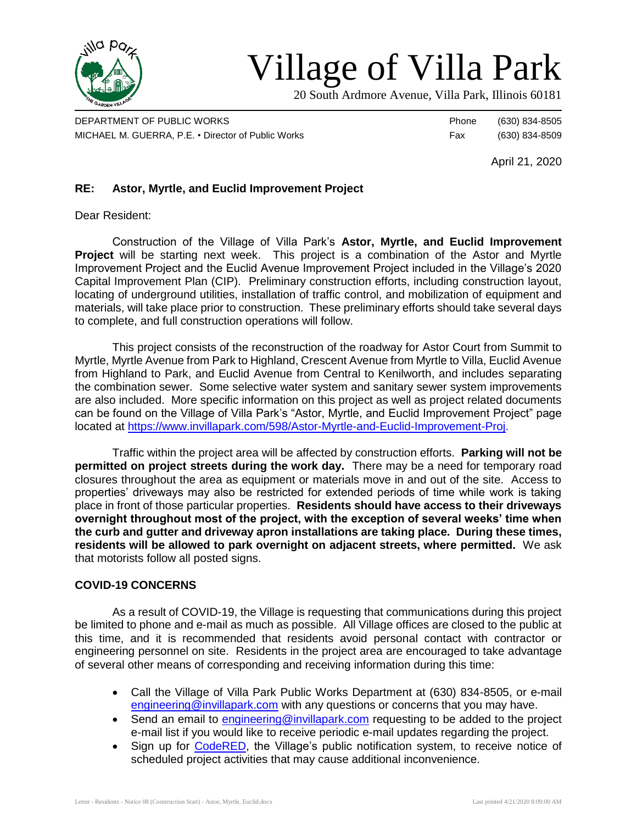

# Village of Villa Park

20 South Ardmore Avenue, Villa Park, Illinois 60181

DEPARTMENT OF PUBLIC WORKS **Phone** (630) 834-8505 MICHAEL M. GUERRA, P.E. • Director of Public Works Fax (630) 834-8509

April 21, 2020

## **RE: Astor, Myrtle, and Euclid Improvement Project**

Dear Resident:

Construction of the Village of Villa Park's **Astor, Myrtle, and Euclid Improvement Project** will be starting next week. This project is a combination of the Astor and Myrtle Improvement Project and the Euclid Avenue Improvement Project included in the Village's 2020 Capital Improvement Plan (CIP). Preliminary construction efforts, including construction layout, locating of underground utilities, installation of traffic control, and mobilization of equipment and materials, will take place prior to construction. These preliminary efforts should take several days to complete, and full construction operations will follow.

This project consists of the reconstruction of the roadway for Astor Court from Summit to Myrtle, Myrtle Avenue from Park to Highland, Crescent Avenue from Myrtle to Villa, Euclid Avenue from Highland to Park, and Euclid Avenue from Central to Kenilworth, and includes separating the combination sewer. Some selective water system and sanitary sewer system improvements are also included. More specific information on this project as well as project related documents can be found on the Village of Villa Park's "Astor, Myrtle, and Euclid Improvement Project" page located at [https://www.invillapark.com/598/Astor-Myrtle-and-Euclid-Improvement-Proj.](https://www.invillapark.com/598/Astor-Myrtle-and-Euclid-Improvement-Proj)

Traffic within the project area will be affected by construction efforts. **Parking will not be permitted on project streets during the work day.** There may be a need for temporary road closures throughout the area as equipment or materials move in and out of the site. Access to properties' driveways may also be restricted for extended periods of time while work is taking place in front of those particular properties. **Residents should have access to their driveways overnight throughout most of the project, with the exception of several weeks' time when the curb and gutter and driveway apron installations are taking place. During these times, residents will be allowed to park overnight on adjacent streets, where permitted.** We ask that motorists follow all posted signs.

### **COVID-19 CONCERNS**

As a result of COVID-19, the Village is requesting that communications during this project be limited to phone and e-mail as much as possible. All Village offices are closed to the public at this time, and it is recommended that residents avoid personal contact with contractor or engineering personnel on site. Residents in the project area are encouraged to take advantage of several other means of corresponding and receiving information during this time:

- Call the Village of Villa Park Public Works Department at (630) 834-8505, or e-mail [engineering@invillapark.com](mailto:engineering@invillapark.com) with any questions or concerns that you may have.
- Send an email to [engineering@invillapark.com](mailto:engineering@invillapark.com) requesting to be added to the project e-mail list if you would like to receive periodic e-mail updates regarding the project.
- Sign up for [CodeRED,](http://www.invillapark.com/787/CodeRED) the Village's public notification system, to receive notice of scheduled project activities that may cause additional inconvenience.